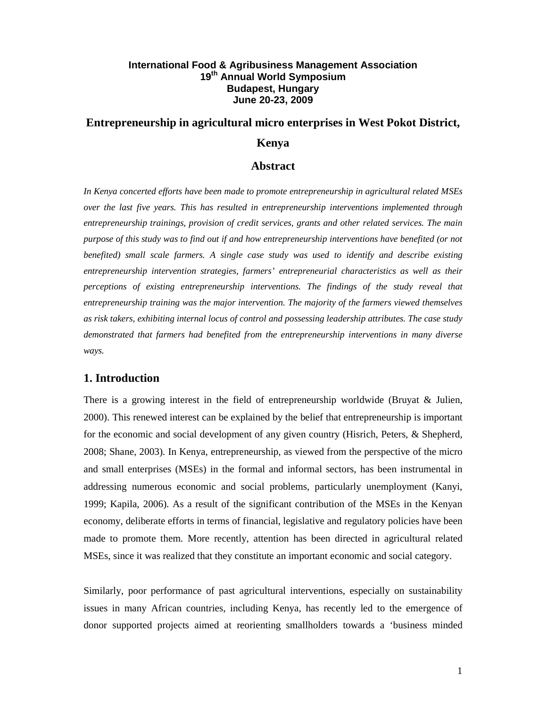# **International Food & Agribusiness Management Association 19th Annual World Symposium Budapest, Hungary June 20-23, 2009**

# **Entrepreneurship in agricultural micro enterprises in West Pokot District,**

## **Kenya**

### **Abstract**

*In Kenya concerted efforts have been made to promote entrepreneurship in agricultural related MSEs over the last five years. This has resulted in entrepreneurship interventions implemented through entrepreneurship trainings, provision of credit services, grants and other related services. The main purpose of this study was to find out if and how entrepreneurship interventions have benefited (or not benefited) small scale farmers. A single case study was used to identify and describe existing entrepreneurship intervention strategies, farmers' entrepreneurial characteristics as well as their perceptions of existing entrepreneurship interventions. The findings of the study reveal that entrepreneurship training was the major intervention. The majority of the farmers viewed themselves as risk takers, exhibiting internal locus of control and possessing leadership attributes. The case study demonstrated that farmers had benefited from the entrepreneurship interventions in many diverse ways.* 

## **1. Introduction**

There is a growing interest in the field of entrepreneurship worldwide (Bruyat & Julien, 2000). This renewed interest can be explained by the belief that entrepreneurship is important for the economic and social development of any given country (Hisrich, Peters, & Shepherd, 2008; Shane, 2003). In Kenya, entrepreneurship, as viewed from the perspective of the micro and small enterprises (MSEs) in the formal and informal sectors, has been instrumental in addressing numerous economic and social problems, particularly unemployment (Kanyi, 1999; Kapila, 2006). As a result of the significant contribution of the MSEs in the Kenyan economy, deliberate efforts in terms of financial, legislative and regulatory policies have been made to promote them. More recently, attention has been directed in agricultural related MSEs, since it was realized that they constitute an important economic and social category.

Similarly, poor performance of past agricultural interventions, especially on sustainability issues in many African countries, including Kenya, has recently led to the emergence of donor supported projects aimed at reorienting smallholders towards a 'business minded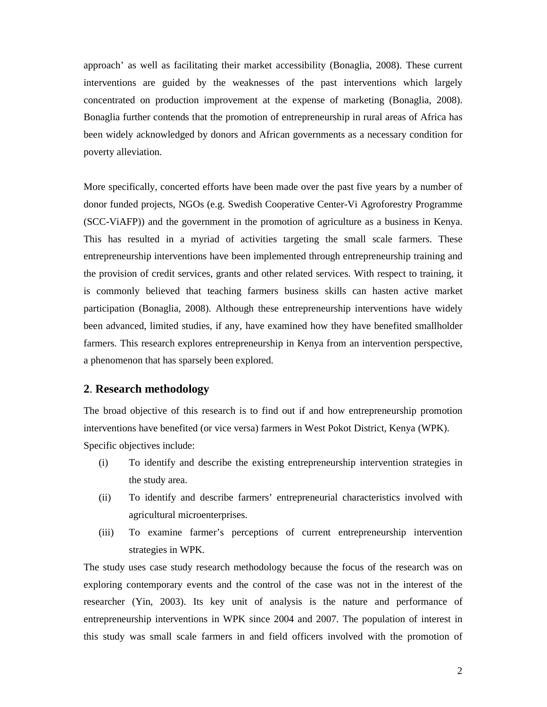approach' as well as facilitating their market accessibility (Bonaglia, 2008). These current interventions are guided by the weaknesses of the past interventions which largely concentrated on production improvement at the expense of marketing (Bonaglia, 2008). Bonaglia further contends that the promotion of entrepreneurship in rural areas of Africa has been widely acknowledged by donors and African governments as a necessary condition for poverty alleviation.

More specifically, concerted efforts have been made over the past five years by a number of donor funded projects, NGOs (e.g. Swedish Cooperative Center-Vi Agroforestry Programme (SCC-ViAFP)) and the government in the promotion of agriculture as a business in Kenya. This has resulted in a myriad of activities targeting the small scale farmers. These entrepreneurship interventions have been implemented through entrepreneurship training and the provision of credit services, grants and other related services. With respect to training, it is commonly believed that teaching farmers business skills can hasten active market participation (Bonaglia, 2008). Although these entrepreneurship interventions have widely been advanced, limited studies, if any, have examined how they have benefited smallholder farmers. This research explores entrepreneurship in Kenya from an intervention perspective, a phenomenon that has sparsely been explored.

## **2**. **Research methodology**

The broad objective of this research is to find out if and how entrepreneurship promotion interventions have benefited (or vice versa) farmers in West Pokot District, Kenya (WPK). Specific objectives include:

- (i) To identify and describe the existing entrepreneurship intervention strategies in the study area.
- (ii) To identify and describe farmers' entrepreneurial characteristics involved with agricultural microenterprises.
- (iii) To examine farmer's perceptions of current entrepreneurship intervention strategies in WPK.

The study uses case study research methodology because the focus of the research was on exploring contemporary events and the control of the case was not in the interest of the researcher (Yin, 2003). Its key unit of analysis is the nature and performance of entrepreneurship interventions in WPK since 2004 and 2007. The population of interest in this study was small scale farmers in and field officers involved with the promotion of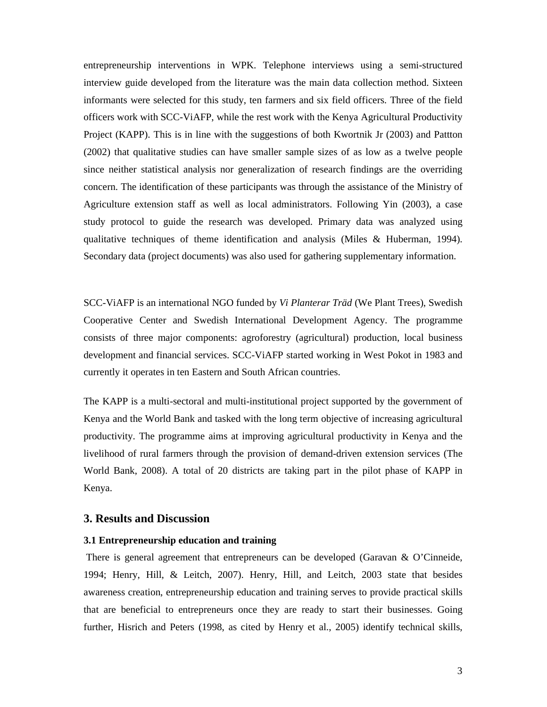entrepreneurship interventions in WPK. Telephone interviews using a semi-structured interview guide developed from the literature was the main data collection method. Sixteen informants were selected for this study, ten farmers and six field officers. Three of the field officers work with SCC-ViAFP, while the rest work with the Kenya Agricultural Productivity Project (KAPP). This is in line with the suggestions of both Kwortnik Jr (2003) and Pattton (2002) that qualitative studies can have smaller sample sizes of as low as a twelve people since neither statistical analysis nor generalization of research findings are the overriding concern. The identification of these participants was through the assistance of the Ministry of Agriculture extension staff as well as local administrators. Following Yin (2003), a case study protocol to guide the research was developed. Primary data was analyzed using qualitative techniques of theme identification and analysis (Miles & Huberman, 1994). Secondary data (project documents) was also used for gathering supplementary information.

SCC-ViAFP is an international NGO funded by *Vi Planterar Träd* (We Plant Trees), Swedish Cooperative Center and Swedish International Development Agency. The programme consists of three major components: agroforestry (agricultural) production, local business development and financial services. SCC-ViAFP started working in West Pokot in 1983 and currently it operates in ten Eastern and South African countries.

The KAPP is a multi-sectoral and multi-institutional project supported by the government of Kenya and the World Bank and tasked with the long term objective of increasing agricultural productivity. The programme aims at improving agricultural productivity in Kenya and the livelihood of rural farmers through the provision of demand-driven extension services (The World Bank, 2008). A total of 20 districts are taking part in the pilot phase of KAPP in Kenya.

### **3. Results and Discussion**

### **3.1 Entrepreneurship education and training**

 There is general agreement that entrepreneurs can be developed (Garavan & O'Cinneide, 1994; Henry, Hill, & Leitch, 2007). Henry, Hill, and Leitch, 2003 state that besides awareness creation, entrepreneurship education and training serves to provide practical skills that are beneficial to entrepreneurs once they are ready to start their businesses. Going further, Hisrich and Peters (1998, as cited by Henry et al., 2005) identify technical skills,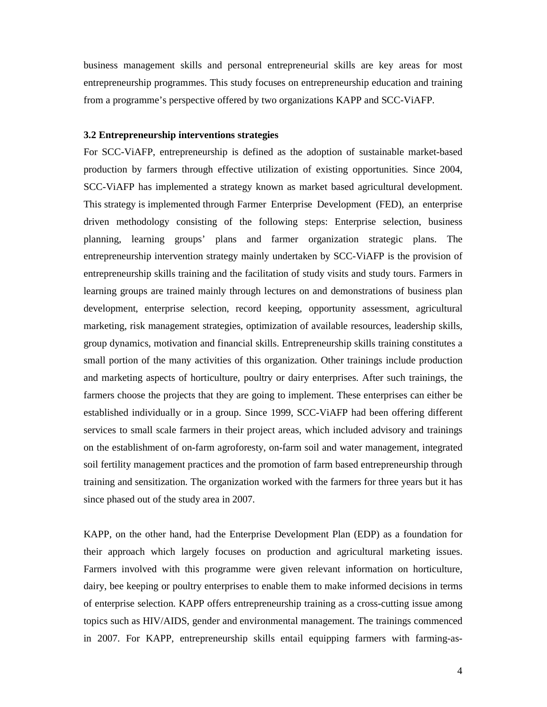business management skills and personal entrepreneurial skills are key areas for most entrepreneurship programmes. This study focuses on entrepreneurship education and training from a programme's perspective offered by two organizations KAPP and SCC-ViAFP.

#### **3.2 Entrepreneurship interventions strategies**

For SCC-ViAFP, entrepreneurship is defined as the adoption of sustainable market-based production by farmers through effective utilization of existing opportunities. Since 2004, SCC-ViAFP has implemented a strategy known as market based agricultural development. This strategy is implemented through Farmer Enterprise Development (FED), an enterprise driven methodology consisting of the following steps: Enterprise selection, business planning, learning groups' plans and farmer organization strategic plans. The entrepreneurship intervention strategy mainly undertaken by SCC-ViAFP is the provision of entrepreneurship skills training and the facilitation of study visits and study tours. Farmers in learning groups are trained mainly through lectures on and demonstrations of business plan development, enterprise selection, record keeping, opportunity assessment, agricultural marketing, risk management strategies, optimization of available resources, leadership skills, group dynamics, motivation and financial skills. Entrepreneurship skills training constitutes a small portion of the many activities of this organization. Other trainings include production and marketing aspects of horticulture, poultry or dairy enterprises. After such trainings, the farmers choose the projects that they are going to implement. These enterprises can either be established individually or in a group. Since 1999, SCC-ViAFP had been offering different services to small scale farmers in their project areas, which included advisory and trainings on the establishment of on-farm agroforesty, on-farm soil and water management, integrated soil fertility management practices and the promotion of farm based entrepreneurship through training and sensitization. The organization worked with the farmers for three years but it has since phased out of the study area in 2007.

KAPP, on the other hand, had the Enterprise Development Plan (EDP) as a foundation for their approach which largely focuses on production and agricultural marketing issues. Farmers involved with this programme were given relevant information on horticulture, dairy, bee keeping or poultry enterprises to enable them to make informed decisions in terms of enterprise selection. KAPP offers entrepreneurship training as a cross-cutting issue among topics such as HIV/AIDS, gender and environmental management. The trainings commenced in 2007. For KAPP, entrepreneurship skills entail equipping farmers with farming-as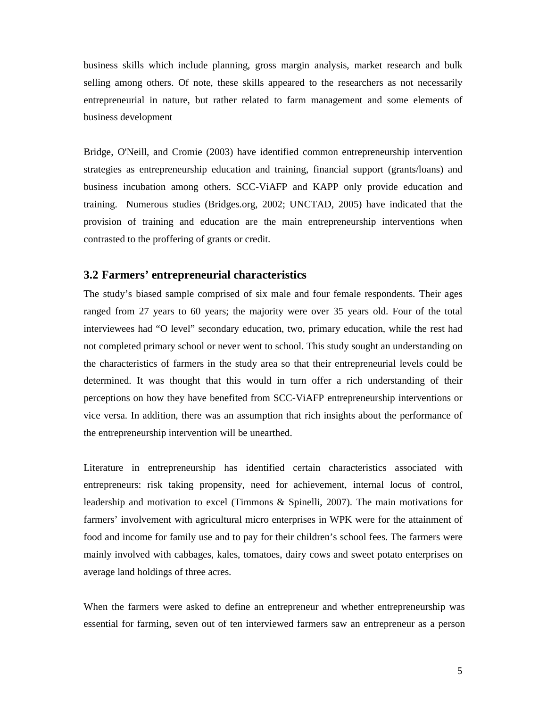business skills which include planning, gross margin analysis, market research and bulk selling among others. Of note, these skills appeared to the researchers as not necessarily entrepreneurial in nature, but rather related to farm management and some elements of business development

Bridge, O'Neill, and Cromie (2003) have identified common entrepreneurship intervention strategies as entrepreneurship education and training, financial support (grants/loans) and business incubation among others. SCC-ViAFP and KAPP only provide education and training. Numerous studies (Bridges.org, 2002; UNCTAD, 2005) have indicated that the provision of training and education are the main entrepreneurship interventions when contrasted to the proffering of grants or credit.

# **3.2 Farmers' entrepreneurial characteristics**

The study's biased sample comprised of six male and four female respondents. Their ages ranged from 27 years to 60 years; the majority were over 35 years old. Four of the total interviewees had "O level" secondary education, two, primary education, while the rest had not completed primary school or never went to school. This study sought an understanding on the characteristics of farmers in the study area so that their entrepreneurial levels could be determined. It was thought that this would in turn offer a rich understanding of their perceptions on how they have benefited from SCC-ViAFP entrepreneurship interventions or vice versa. In addition, there was an assumption that rich insights about the performance of the entrepreneurship intervention will be unearthed.

Literature in entrepreneurship has identified certain characteristics associated with entrepreneurs: risk taking propensity, need for achievement, internal locus of control, leadership and motivation to excel (Timmons & Spinelli, 2007). The main motivations for farmers' involvement with agricultural micro enterprises in WPK were for the attainment of food and income for family use and to pay for their children's school fees. The farmers were mainly involved with cabbages, kales, tomatoes, dairy cows and sweet potato enterprises on average land holdings of three acres.

When the farmers were asked to define an entrepreneur and whether entrepreneurship was essential for farming, seven out of ten interviewed farmers saw an entrepreneur as a person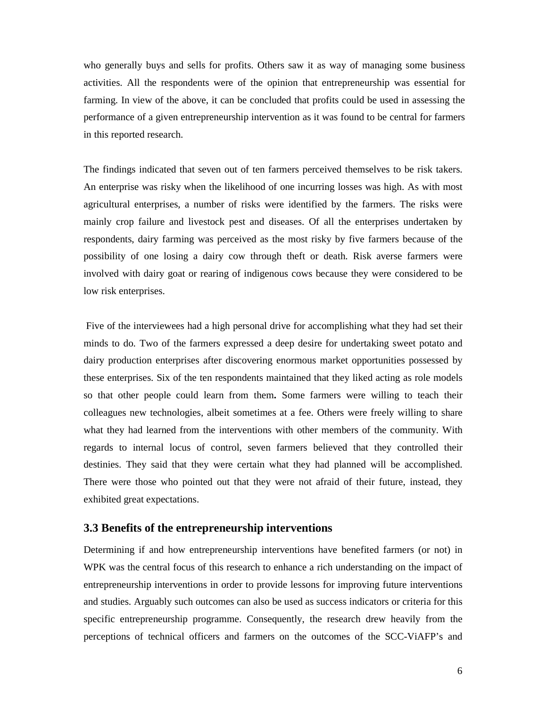who generally buys and sells for profits. Others saw it as way of managing some business activities. All the respondents were of the opinion that entrepreneurship was essential for farming. In view of the above, it can be concluded that profits could be used in assessing the performance of a given entrepreneurship intervention as it was found to be central for farmers in this reported research.

The findings indicated that seven out of ten farmers perceived themselves to be risk takers. An enterprise was risky when the likelihood of one incurring losses was high. As with most agricultural enterprises, a number of risks were identified by the farmers. The risks were mainly crop failure and livestock pest and diseases. Of all the enterprises undertaken by respondents, dairy farming was perceived as the most risky by five farmers because of the possibility of one losing a dairy cow through theft or death. Risk averse farmers were involved with dairy goat or rearing of indigenous cows because they were considered to be low risk enterprises.

 Five of the interviewees had a high personal drive for accomplishing what they had set their minds to do. Two of the farmers expressed a deep desire for undertaking sweet potato and dairy production enterprises after discovering enormous market opportunities possessed by these enterprises. Six of the ten respondents maintained that they liked acting as role models so that other people could learn from them**.** Some farmers were willing to teach their colleagues new technologies, albeit sometimes at a fee. Others were freely willing to share what they had learned from the interventions with other members of the community. With regards to internal locus of control, seven farmers believed that they controlled their destinies. They said that they were certain what they had planned will be accomplished. There were those who pointed out that they were not afraid of their future, instead, they exhibited great expectations.

## **3.3 Benefits of the entrepreneurship interventions**

Determining if and how entrepreneurship interventions have benefited farmers (or not) in WPK was the central focus of this research to enhance a rich understanding on the impact of entrepreneurship interventions in order to provide lessons for improving future interventions and studies. Arguably such outcomes can also be used as success indicators or criteria for this specific entrepreneurship programme. Consequently, the research drew heavily from the perceptions of technical officers and farmers on the outcomes of the SCC-ViAFP's and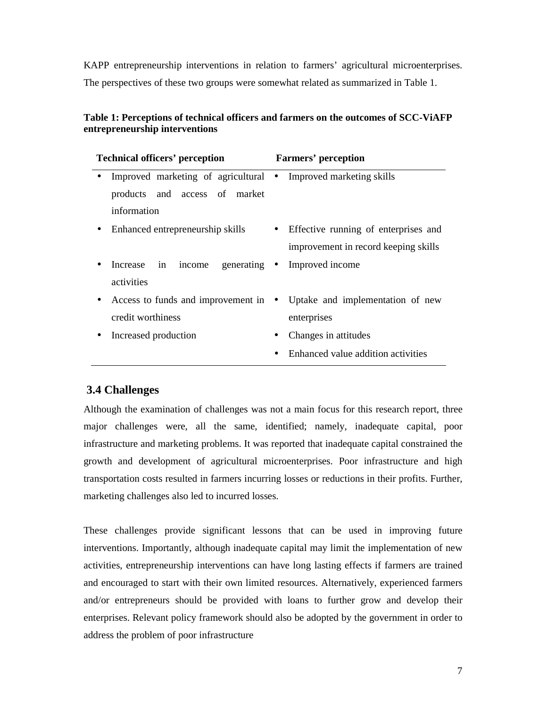KAPP entrepreneurship interventions in relation to farmers' agricultural microenterprises. The perspectives of these two groups were somewhat related as summarized in Table 1.

# **Table 1: Perceptions of technical officers and farmers on the outcomes of SCC-ViAFP entrepreneurship interventions**

| <b>Technical officers' perception</b> |                                                                         | <b>Farmers' perception</b> |                                        |
|---------------------------------------|-------------------------------------------------------------------------|----------------------------|----------------------------------------|
| $\bullet$                             | Improved marketing of agricultural • Improved marketing skills          |                            |                                        |
|                                       | products and access of market                                           |                            |                                        |
|                                       | information                                                             |                            |                                        |
|                                       | • Enhanced entrepreneurship skills                                      |                            | • Effective running of enterprises and |
|                                       |                                                                         |                            | improvement in record keeping skills   |
|                                       | income generating • Improved income<br>Increase in                      |                            |                                        |
|                                       | activities                                                              |                            |                                        |
|                                       | • Access to funds and improvement in • Uptake and implementation of new |                            |                                        |
|                                       | credit worthiness                                                       |                            | enterprises                            |
|                                       | Increased production                                                    | $\bullet$                  | Changes in attitudes                   |
|                                       |                                                                         |                            | Enhanced value addition activities     |

# **3.4 Challenges**

Although the examination of challenges was not a main focus for this research report, three major challenges were, all the same, identified; namely, inadequate capital, poor infrastructure and marketing problems. It was reported that inadequate capital constrained the growth and development of agricultural microenterprises. Poor infrastructure and high transportation costs resulted in farmers incurring losses or reductions in their profits. Further, marketing challenges also led to incurred losses.

These challenges provide significant lessons that can be used in improving future interventions. Importantly, although inadequate capital may limit the implementation of new activities, entrepreneurship interventions can have long lasting effects if farmers are trained and encouraged to start with their own limited resources. Alternatively, experienced farmers and/or entrepreneurs should be provided with loans to further grow and develop their enterprises. Relevant policy framework should also be adopted by the government in order to address the problem of poor infrastructure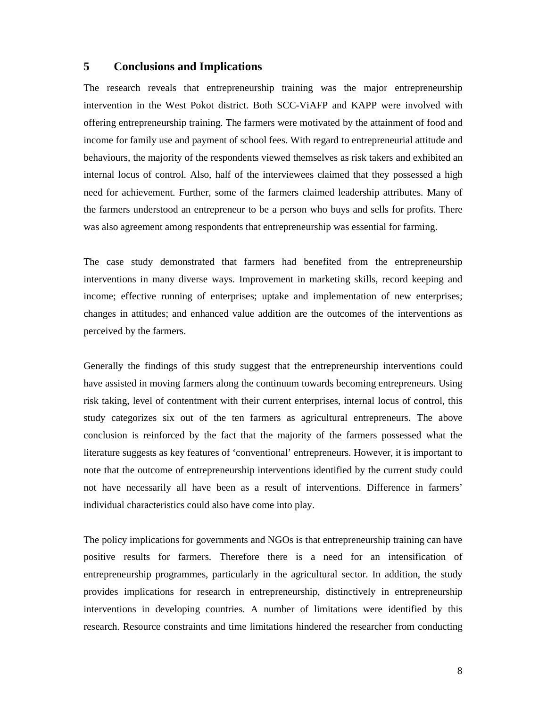# **5 Conclusions and Implications**

The research reveals that entrepreneurship training was the major entrepreneurship intervention in the West Pokot district. Both SCC-ViAFP and KAPP were involved with offering entrepreneurship training. The farmers were motivated by the attainment of food and income for family use and payment of school fees. With regard to entrepreneurial attitude and behaviours, the majority of the respondents viewed themselves as risk takers and exhibited an internal locus of control. Also, half of the interviewees claimed that they possessed a high need for achievement. Further, some of the farmers claimed leadership attributes. Many of the farmers understood an entrepreneur to be a person who buys and sells for profits. There was also agreement among respondents that entrepreneurship was essential for farming.

The case study demonstrated that farmers had benefited from the entrepreneurship interventions in many diverse ways. Improvement in marketing skills, record keeping and income; effective running of enterprises; uptake and implementation of new enterprises; changes in attitudes; and enhanced value addition are the outcomes of the interventions as perceived by the farmers.

Generally the findings of this study suggest that the entrepreneurship interventions could have assisted in moving farmers along the continuum towards becoming entrepreneurs. Using risk taking, level of contentment with their current enterprises, internal locus of control, this study categorizes six out of the ten farmers as agricultural entrepreneurs. The above conclusion is reinforced by the fact that the majority of the farmers possessed what the literature suggests as key features of 'conventional' entrepreneurs. However, it is important to note that the outcome of entrepreneurship interventions identified by the current study could not have necessarily all have been as a result of interventions. Difference in farmers' individual characteristics could also have come into play.

The policy implications for governments and NGOs is that entrepreneurship training can have positive results for farmers. Therefore there is a need for an intensification of entrepreneurship programmes, particularly in the agricultural sector. In addition, the study provides implications for research in entrepreneurship, distinctively in entrepreneurship interventions in developing countries. A number of limitations were identified by this research. Resource constraints and time limitations hindered the researcher from conducting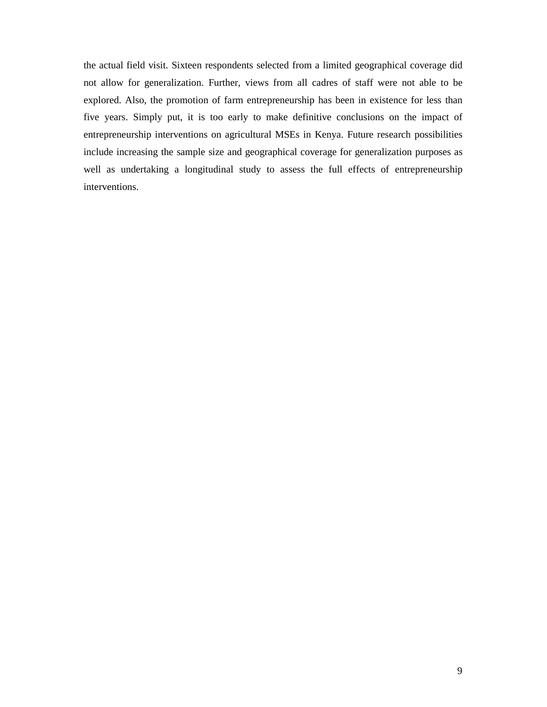the actual field visit. Sixteen respondents selected from a limited geographical coverage did not allow for generalization. Further, views from all cadres of staff were not able to be explored. Also, the promotion of farm entrepreneurship has been in existence for less than five years. Simply put, it is too early to make definitive conclusions on the impact of entrepreneurship interventions on agricultural MSEs in Kenya. Future research possibilities include increasing the sample size and geographical coverage for generalization purposes as well as undertaking a longitudinal study to assess the full effects of entrepreneurship interventions.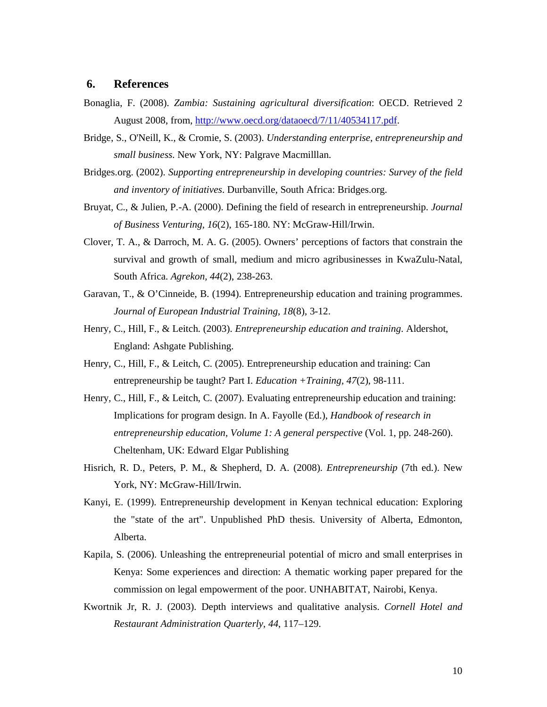## **6. References**

- Bonaglia, F. (2008). *Zambia: Sustaining agricultural diversification*: OECD. Retrieved 2 August 2008, from, http://www.oecd.org/dataoecd/7/11/40534117.pdf.
- Bridge, S., O'Neill, K., & Cromie, S. (2003). *Understanding enterprise, entrepreneurship and small business*. New York, NY: Palgrave Macmilllan.
- Bridges.org. (2002). *Supporting entrepreneurship in developing countries: Survey of the field and inventory of initiatives*. Durbanville, South Africa: Bridges.org.
- Bruyat, C., & Julien, P.-A. (2000). Defining the field of research in entrepreneurship. *Journal of Business Venturing, 16*(2), 165-180. NY: McGraw-Hill/Irwin.
- Clover, T. A., & Darroch, M. A. G. (2005). Owners' perceptions of factors that constrain the survival and growth of small, medium and micro agribusinesses in KwaZulu-Natal, South Africa. *Agrekon, 44*(2), 238-263.
- Garavan, T., & O'Cinneide, B. (1994). Entrepreneurship education and training programmes. *Journal of European Industrial Training, 18*(8), 3-12.
- Henry, C., Hill, F., & Leitch. (2003). *Entrepreneurship education and training*. Aldershot, England: Ashgate Publishing.
- Henry, C., Hill, F., & Leitch, C. (2005). Entrepreneurship education and training: Can entrepreneurship be taught? Part I. *Education +Training, 47*(2), 98-111.
- Henry, C., Hill, F., & Leitch, C. (2007). Evaluating entrepreneurship education and training: Implications for program design. In A. Fayolle (Ed.), *Handbook of research in entrepreneurship education, Volume 1: A general perspective* (Vol. 1, pp. 248-260). Cheltenham, UK: Edward Elgar Publishing
- Hisrich, R. D., Peters, P. M., & Shepherd, D. A. (2008). *Entrepreneurship* (7th ed.). New York, NY: McGraw-Hill/Irwin.
- Kanyi, E. (1999). Entrepreneurship development in Kenyan technical education: Exploring the "state of the art". Unpublished PhD thesis. University of Alberta, Edmonton, Alberta.
- Kapila, S. (2006). Unleashing the entrepreneurial potential of micro and small enterprises in Kenya: Some experiences and direction: A thematic working paper prepared for the commission on legal empowerment of the poor. UNHABITAT, Nairobi, Kenya.
- Kwortnik Jr, R. J. (2003). Depth interviews and qualitative analysis. *Cornell Hotel and Restaurant Administration Quarterly, 44*, 117–129.